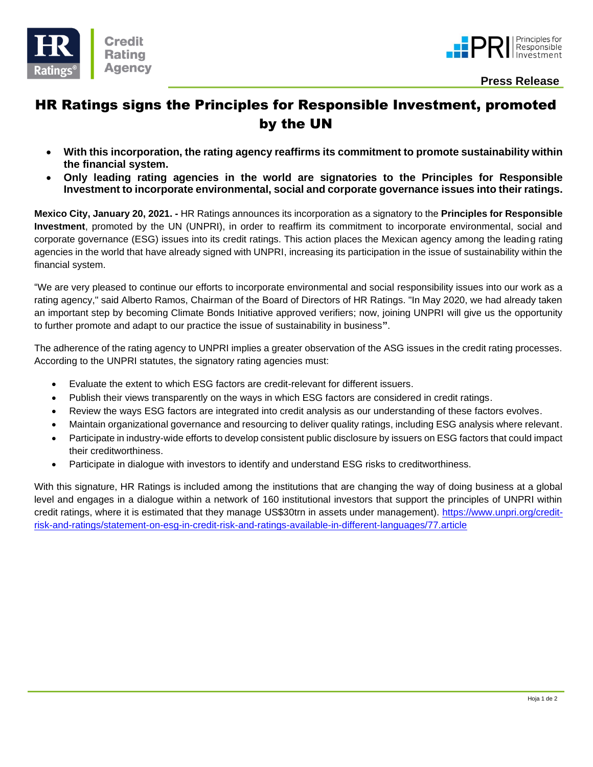



 **Press Release**

# HR Ratings signs the Principles for Responsible Investment, promoted by the UN

- **With this incorporation, the rating agency reaffirms its commitment to promote sustainability within the financial system.**
- **Only leading rating agencies in the world are signatories to the Principles for Responsible Investment to incorporate environmental, social and corporate governance issues into their ratings.**

**Mexico City, January 20, 2021. -** HR Ratings announces its incorporation as a signatory to the **Principles for Responsible Investment**, promoted by the UN (UNPRI), in order to reaffirm its commitment to incorporate environmental, social and corporate governance (ESG) issues into its credit ratings. This action places the Mexican agency among the leading rating agencies in the world that have already signed with UNPRI, increasing its participation in the issue of sustainability within the financial system.

"We are very pleased to continue our efforts to incorporate environmental and social responsibility issues into our work as a rating agency," said Alberto Ramos, Chairman of the Board of Directors of HR Ratings. "In May 2020, we had already taken an important step by becoming Climate Bonds Initiative approved verifiers; now, joining UNPRI will give us the opportunity to further promote and adapt to our practice the issue of sustainability in business**"**.

The adherence of the rating agency to UNPRI implies a greater observation of the ASG issues in the credit rating processes. According to the UNPRI statutes, the signatory rating agencies must:

- Evaluate the extent to which ESG factors are credit-relevant for different issuers.
- Publish their views transparently on the ways in which ESG factors are considered in credit ratings.
- Review the ways ESG factors are integrated into credit analysis as our understanding of these factors evolves.
- Maintain organizational governance and resourcing to deliver quality ratings, including ESG analysis where relevant.
- Participate in industry-wide efforts to develop consistent public disclosure by issuers on ESG factors that could impact their creditworthiness.
- Participate in dialogue with investors to identify and understand ESG risks to creditworthiness.

With this signature, HR Ratings is included among the institutions that are changing the way of doing business at a global level and engages in a dialogue within a network of 160 institutional investors that support the principles of UNPRI within credit ratings, where it is estimated that they manage US\$30trn in assets under management). [https://www.unpri.org/credit](https://www.unpri.org/credit-risk-and-ratings/statement-on-esg-in-credit-risk-and-ratings-available-in-different-languages/77.article)[risk-and-ratings/statement-on-esg-in-credit-risk-and-ratings-available-in-different-languages/77.article](https://www.unpri.org/credit-risk-and-ratings/statement-on-esg-in-credit-risk-and-ratings-available-in-different-languages/77.article)